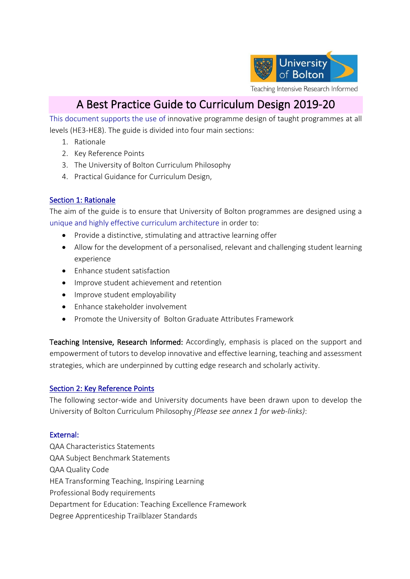

# A Best Practice Guide to Curriculum Design 2019-20

This document supports the use of innovative programme design of taught programmes at all levels (HE3-HE8). The guide is divided into four main sections:

- 1. Rationale
- 2. Key Reference Points
- 3. The University of Bolton Curriculum Philosophy
- 4. Practical Guidance for Curriculum Design,

## Section 1: Rationale

The aim of the guide is to ensure that University of Bolton programmes are designed using a unique and highly effective curriculum architecture in order to:

- Provide a distinctive, stimulating and attractive learning offer
- Allow for the development of a personalised, relevant and challenging student learning experience
- Enhance student satisfaction
- Improve student achievement and retention
- Improve student employability
- Enhance stakeholder involvement
- Promote the University of Bolton Graduate Attributes Framework

Teaching Intensive, Research Informed: Accordingly, emphasis is placed on the support and empowerment of tutors to develop innovative and effective learning, teaching and assessment strategies, which are underpinned by cutting edge research and scholarly activity.

#### Section 2: Key Reference Points

The following sector-wide and University documents have been drawn upon to develop the University of Bolton Curriculum Philosophy *(Please see annex 1 for web-links)*:

#### External:

QAA Characteristics Statements QAA Subject Benchmark Statements QAA Quality Code HEA Transforming Teaching, Inspiring Learning Professional Body requirements Department for Education: Teaching Excellence Framework Degree Apprenticeship Trailblazer Standards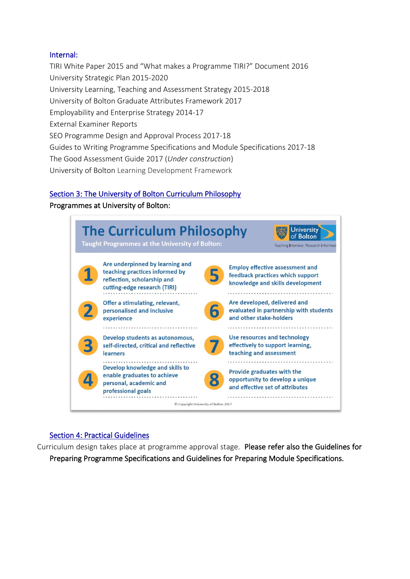#### Internal:

TIRI White Paper 2015 and "What makes a Programme TIRI?" Document 2016 University Strategic Plan 2015-2020 University Learning, Teaching and Assessment Strategy 2015-2018 University of Bolton Graduate Attributes Framework 2017 Employability and Enterprise Strategy 2014-17 External Examiner Reports SEO Programme Design and Approval Process 2017-18 Guides to Writing Programme Specifications and Module Specifications 2017-18 The Good Assessment Guide 2017 (*Under construction*) University of Bolton Learning Development Framework

## Section 3: The University of Bolton Curriculum Philosophy

#### Programmes at University of Bolton:



## Section 4: Practical Guidelines

Curriculum design takes place at programme approval stage. Please refer also the Guidelines for Preparing Programme Specifications and Guidelines for Preparing Module Specifications.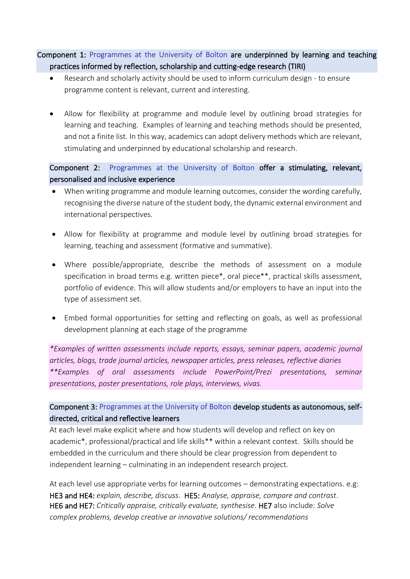# Component 1: Programmes at the University of Bolton are underpinned by learning and teaching practices informed by reflection, scholarship and cutting-edge research (TIRI)

- Research and scholarly activity should be used to inform curriculum design to ensure programme content is relevant, current and interesting.
- Allow for flexibility at programme and module level by outlining broad strategies for learning and teaching. Examples of learning and teaching methods should be presented, and not a finite list. In this way, academics can adopt delivery methods which are relevant, stimulating and underpinned by educational scholarship and research.

Component 2: Programmes at the University of Bolton offer a stimulating, relevant, personalised and inclusive experience

- When writing programme and module learning outcomes, consider the wording carefully, recognising the diverse nature of the student body, the dynamic external environment and international perspectives.
- Allow for flexibility at programme and module level by outlining broad strategies for learning, teaching and assessment (formative and summative).
- Where possible/appropriate, describe the methods of assessment on a module specification in broad terms e.g. written piece\*, oral piece\*\*, practical skills assessment, portfolio of evidence. This will allow students and/or employers to have an input into the type of assessment set.
- Embed formal opportunities for setting and reflecting on goals, as well as professional development planning at each stage of the programme

*\*Examples of written assessments include reports, essays, seminar papers, academic journal articles, blogs, trade journal articles, newspaper articles, press releases, reflective diaries \*\*Examples of oral assessments include PowerPoint/Prezi presentations, seminar presentations, poster presentations, role plays, interviews, vivas.*

# Component 3: Programmes at the University of Bolton develop students as autonomous, selfdirected, critical and reflective learners

At each level make explicit where and how students will develop and reflect on key on academic\*, professional/practical and life skills\*\* within a relevant context. Skills should be embedded in the curriculum and there should be clear progression from dependent to independent learning – culminating in an independent research project.

At each level use appropriate verbs for learning outcomes – demonstrating expectations. e.g: HE3 and HE4: *explain, describe, discuss*. HE5: *Analyse, appraise, compare and contrast*. HE6 and HE7: *Critically appraise, critically evaluate, synthesise*. HE7 also include: *Solve complex problems, develop creative or innovative solutions/ recommendations*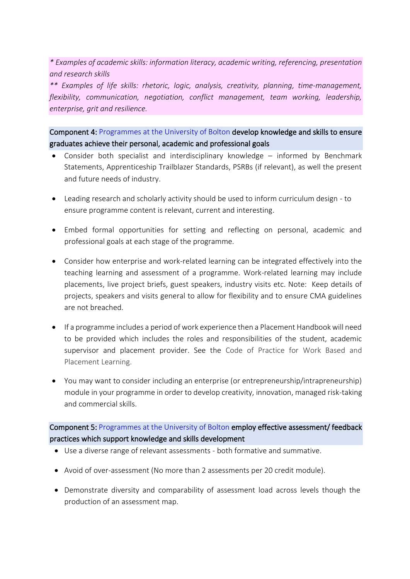*\* Examples of academic skills: information literacy, academic writing, referencing, presentation and research skills* 

*\*\* Examples of life skills: rhetoric, logic, analysis, creativity, planning, time-management, flexibility, communication, negotiation, conflict management, team working, leadership, enterprise, grit and resilience.* 

Component 4: Programmes at the University of Bolton develop knowledge and skills to ensure graduates achieve their personal, academic and professional goals

- Consider both specialist and interdisciplinary knowledge informed by Benchmark Statements, Apprenticeship Trailblazer Standards, PSRBs (if relevant), as well the present and future needs of industry.
- Leading research and scholarly activity should be used to inform curriculum design to ensure programme content is relevant, current and interesting.
- Embed formal opportunities for setting and reflecting on personal, academic and professional goals at each stage of the programme.
- Consider how enterprise and work-related learning can be integrated effectively into the teaching learning and assessment of a programme. Work-related learning may include placements, live project briefs, guest speakers, industry visits etc. Note: Keep details of projects, speakers and visits general to allow for flexibility and to ensure CMA guidelines are not breached.
- If a programme includes a period of work experience then a Placement Handbook will need to be provided which includes the roles and responsibilities of the student, academic supervisor and placement provider. See the Code of Practice for Work Based and Placement Learning.
- You may want to consider including an enterprise (or entrepreneurship/intrapreneurship) module in your programme in order to develop creativity, innovation, managed risk-taking and commercial skills.

Component 5: Programmes at the University of Bolton employ effective assessment/ feedback practices which support knowledge and skills development

- Use a diverse range of relevant assessments both formative and summative.
- Avoid of over-assessment (No more than 2 assessments per 20 credit module).
- Demonstrate diversity and comparability of assessment load across levels though the production of an assessment map.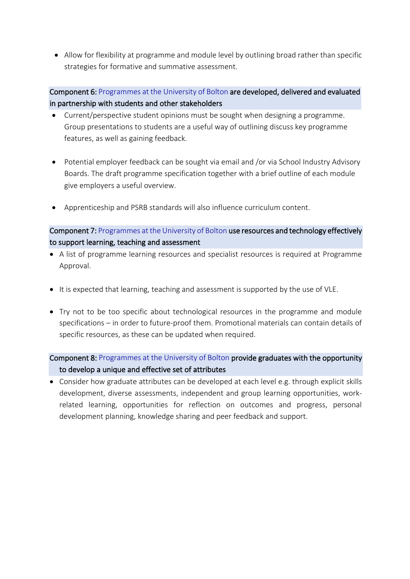• Allow for flexibility at programme and module level by outlining broad rather than specific strategies for formative and summative assessment.

# Component 6: Programmes at the University of Bolton are developed, delivered and evaluated in partnership with students and other stakeholders

- Current/perspective student opinions must be sought when designing a programme. Group presentations to students are a useful way of outlining discuss key programme features, as well as gaining feedback.
- Potential employer feedback can be sought via email and /or via School Industry Advisory Boards. The draft programme specification together with a brief outline of each module give employers a useful overview.
- Apprenticeship and PSRB standards will also influence curriculum content.

# Component 7: Programmes at the University of Bolton use resources and technology effectively to support learning, teaching and assessment

- A list of programme learning resources and specialist resources is required at Programme Approval.
- It is expected that learning, teaching and assessment is supported by the use of VLE.
- Try not to be too specific about technological resources in the programme and module specifications – in order to future-proof them. Promotional materials can contain details of specific resources, as these can be updated when required.

# Component 8: Programmes at the University of Bolton provide graduates with the opportunity to develop a unique and effective set of attributes

• Consider how graduate attributes can be developed at each level e.g. through explicit skills development, diverse assessments, independent and group learning opportunities, workrelated learning, opportunities for reflection on outcomes and progress, personal development planning, knowledge sharing and peer feedback and support.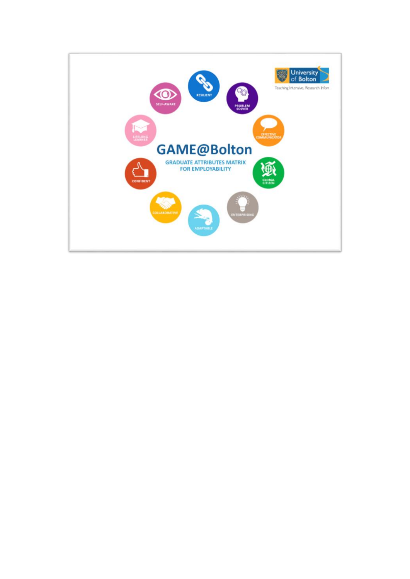